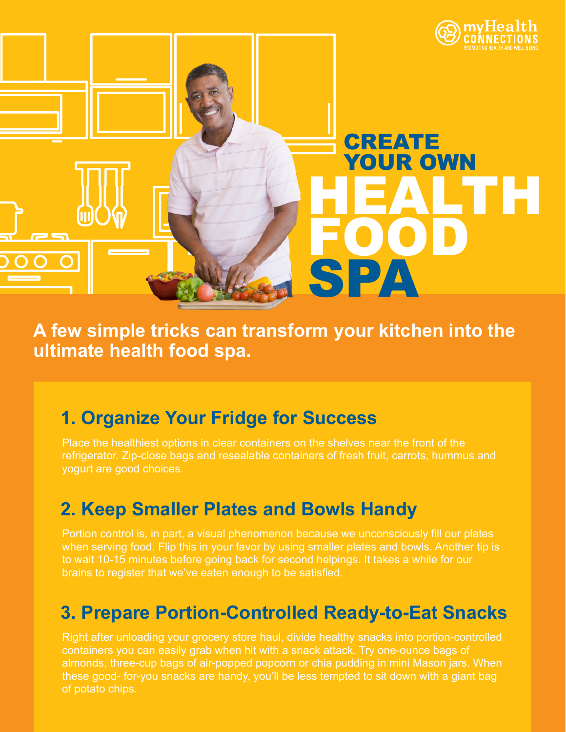

**A few simple tricks can transform your kitchen into the ultimate health food spa.**

### **1. Organize Your Fridge for Success**

Place the healthiest options in clear containers on the shelves near the front of the refrigerator. Zip-close bags and resealable containers of fresh fruit, carrots, hummus and yogurt are good choices.

### **2. Keep Smaller Plates and Bowls Handy**

Portion control is, in part, a visual phenomenon because we unconsciously fill our plates when serving food. Flip this in your favor by using smaller plates and bowls. Another tip is to wait 10-15 minutes before going back for second helpings. It takes a while for our brains to register that we've eaten enough to be satisfied.

## **3. Prepare Portion-Controlled Ready-to-Eat Snacks**

Right after unloading your grocery store haul, divide healthy snacks into portion-controlled containers you can easily grab when hit with a snack attack. Try one-ounce bags of almonds, three-cup bags of air-popped popcorn or chia pudding in mini Mason jars. When these good- for-you snacks are handy, you'll be less tempted to sit down with a giant bag of potato chips.